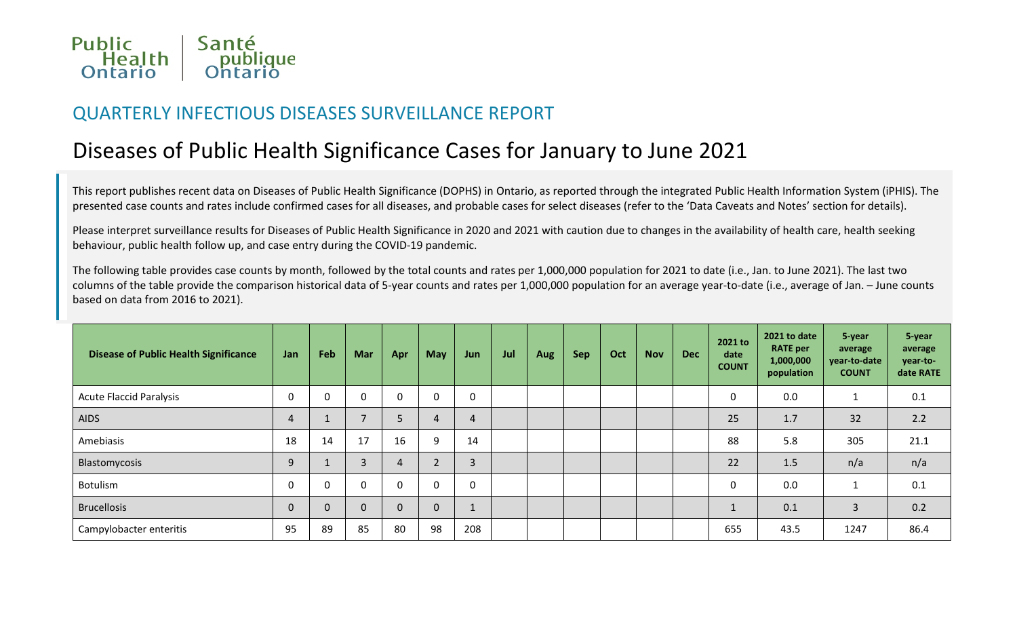

## QUARTERLY INFECTIOUS DISEASES SURVEILLANCE REPORT

# Diseases of Public Health Significance Cases for January to June 2021

This report publishes recent data on Diseases of Public Health Significance (DOPHS) in Ontario, as reported through the integrated Public Health Information System (iPHIS). The presented case counts and rates include confirmed cases for all diseases, and probable cases for select diseases (refer to the 'Data Caveats and Notes' section for details).

Please interpret surveillance results for Diseases of Public Health Significance in 2020 and 2021 with caution due to changes in the availability of health care, health seeking behaviour, public health follow up, and case entry during the COVID-19 pandemic.

The following table provides case counts by month, followed by the total counts and rates per 1,000,000 population for 2021 to date (i.e., Jan. to June 2021). The last two columns of the table provide the comparison historical data of 5-year counts and rates per 1,000,000 population for an average year-to-date (i.e., average of Jan. – June counts based on data from 2016 to 2021).

| <b>Disease of Public Health Significance</b> | Jan         | Feb      | <b>Mar</b>   | Apr      | <b>May</b> | Jun            | Jul | <b>Aug</b> | <b>Sep</b> | Oct | <b>Nov</b> | <b>Dec</b> | 2021 to<br>date<br><b>COUNT</b> | 2021 to date<br><b>RATE per</b><br>1,000,000<br>population | 5-year<br>average<br>year-to-date<br><b>COUNT</b> | 5-year<br>average<br>year-to-<br>date RATE |
|----------------------------------------------|-------------|----------|--------------|----------|------------|----------------|-----|------------|------------|-----|------------|------------|---------------------------------|------------------------------------------------------------|---------------------------------------------------|--------------------------------------------|
| <b>Acute Flaccid Paralysis</b>               | 0           | U        | 0            |          | 0          | $\mathbf 0$    |     |            |            |     |            |            | 0                               | 0.0                                                        |                                                   | 0.1                                        |
| <b>AIDS</b>                                  | 4           |          |              |          | 4          | $\overline{4}$ |     |            |            |     |            |            | 25                              | 1.7                                                        | 32                                                | 2.2                                        |
| Amebiasis                                    | 18          | 14       | 17           | 16       | 9          | 14             |     |            |            |     |            |            | 88                              | 5.8                                                        | 305                                               | 21.1                                       |
| Blastomycosis                                | 9           |          | 3            |          |            | 3              |     |            |            |     |            |            | 22                              | 1.5                                                        | n/a                                               | n/a                                        |
| Botulism                                     | 0           | $\Omega$ | $\mathbf{0}$ | $\Omega$ | 0          | $\mathbf 0$    |     |            |            |     |            |            | 0                               | 0.0                                                        |                                                   | 0.1                                        |
| <b>Brucellosis</b>                           | $\mathbf 0$ | $\Omega$ | 0            |          | 0          |                |     |            |            |     |            |            |                                 | 0.1                                                        | 3                                                 | 0.2                                        |
| Campylobacter enteritis                      | 95          | 89       | 85           | 80       | 98         | 208            |     |            |            |     |            |            | 655                             | 43.5                                                       | 1247                                              | 86.4                                       |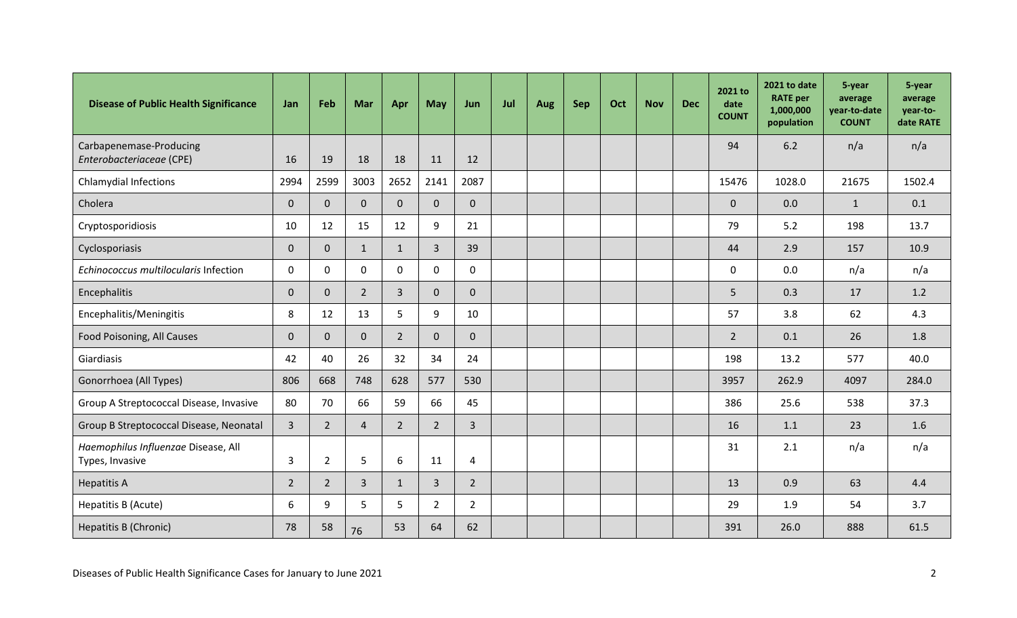| <b>Disease of Public Health Significance</b>           | Jan            | Feb            | Mar            | Apr          | <b>May</b>     | Jun            | Jul | Aug | Sep | Oct | <b>Nov</b> | <b>Dec</b> | 2021 to<br>date<br><b>COUNT</b> | 2021 to date<br><b>RATE</b> per<br>1,000,000<br>population | 5-year<br>average<br>year-to-date<br><b>COUNT</b> | 5-year<br>average<br>year-to-<br>date RATE |
|--------------------------------------------------------|----------------|----------------|----------------|--------------|----------------|----------------|-----|-----|-----|-----|------------|------------|---------------------------------|------------------------------------------------------------|---------------------------------------------------|--------------------------------------------|
| Carbapenemase-Producing<br>Enterobacteriaceae (CPE)    | 16             | 19             | 18             | 18           | 11             | 12             |     |     |     |     |            |            | 94                              | 6.2                                                        | n/a                                               | n/a                                        |
| <b>Chlamydial Infections</b>                           | 2994           | 2599           | 3003           | 2652         | 2141           | 2087           |     |     |     |     |            |            | 15476                           | 1028.0                                                     | 21675                                             | 1502.4                                     |
| Cholera                                                | $\mathbf 0$    | $\mathbf{0}$   | $\mathbf{0}$   | $\Omega$     | 0              | $\overline{0}$ |     |     |     |     |            |            | $\mathbf 0$                     | 0.0                                                        | $\mathbf{1}$                                      | 0.1                                        |
| Cryptosporidiosis                                      | 10             | 12             | 15             | 12           | 9              | 21             |     |     |     |     |            |            | 79                              | 5.2                                                        | 198                                               | 13.7                                       |
| Cyclosporiasis                                         | $\bf 0$        | $\mathbf 0$    | $\mathbf{1}$   | $\mathbf{1}$ | $\overline{3}$ | 39             |     |     |     |     |            |            | 44                              | 2.9                                                        | 157                                               | 10.9                                       |
| Echinococcus multilocularis Infection                  | $\mathbf 0$    | $\mathbf 0$    | 0              | $\mathbf{0}$ | 0              | 0              |     |     |     |     |            |            | $\mathbf 0$                     | 0.0                                                        | n/a                                               | n/a                                        |
| Encephalitis                                           | $\mathbf 0$    | $\mathbf{0}$   | $2^{\circ}$    | $\mathbf{3}$ | 0              | $\mathbf{0}$   |     |     |     |     |            |            | 5                               | 0.3                                                        | 17                                                | 1.2                                        |
| Encephalitis/Meningitis                                | 8              | 12             | 13             | 5            | 9              | 10             |     |     |     |     |            |            | 57                              | 3.8                                                        | 62                                                | 4.3                                        |
| Food Poisoning, All Causes                             | $\mathbf 0$    | $\mathbf{0}$   | $\overline{0}$ | $2^{\circ}$  | 0              | $\overline{0}$ |     |     |     |     |            |            | $\overline{2}$                  | 0.1                                                        | 26                                                | 1.8                                        |
| Giardiasis                                             | 42             | 40             | 26             | 32           | 34             | 24             |     |     |     |     |            |            | 198                             | 13.2                                                       | 577                                               | 40.0                                       |
| Gonorrhoea (All Types)                                 | 806            | 668            | 748            | 628          | 577            | 530            |     |     |     |     |            |            | 3957                            | 262.9                                                      | 4097                                              | 284.0                                      |
| Group A Streptococcal Disease, Invasive                | 80             | 70             | 66             | 59           | 66             | 45             |     |     |     |     |            |            | 386                             | 25.6                                                       | 538                                               | 37.3                                       |
| Group B Streptococcal Disease, Neonatal                | $\overline{3}$ | $\overline{2}$ | 4              | $2^{\circ}$  | $\overline{2}$ | $\overline{3}$ |     |     |     |     |            |            | 16                              | 1.1                                                        | 23                                                | 1.6                                        |
| Haemophilus Influenzae Disease, All<br>Types, Invasive | 3              | 2              | 5              | 6            | 11             | 4              |     |     |     |     |            |            | 31                              | 2.1                                                        | n/a                                               | n/a                                        |
| <b>Hepatitis A</b>                                     | $\overline{2}$ | $\overline{2}$ | $\overline{3}$ | $\mathbf{1}$ | $\overline{3}$ | $2^{\circ}$    |     |     |     |     |            |            | 13                              | 0.9                                                        | 63                                                | 4.4                                        |
| Hepatitis B (Acute)                                    | 6              | $\mathsf{q}$   | 5              | 5            | $\overline{2}$ | $\overline{2}$ |     |     |     |     |            |            | 29                              | 1.9                                                        | 54                                                | 3.7                                        |
| Hepatitis B (Chronic)                                  | 78             | 58             | 76             | 53           | 64             | 62             |     |     |     |     |            |            | 391                             | 26.0                                                       | 888                                               | 61.5                                       |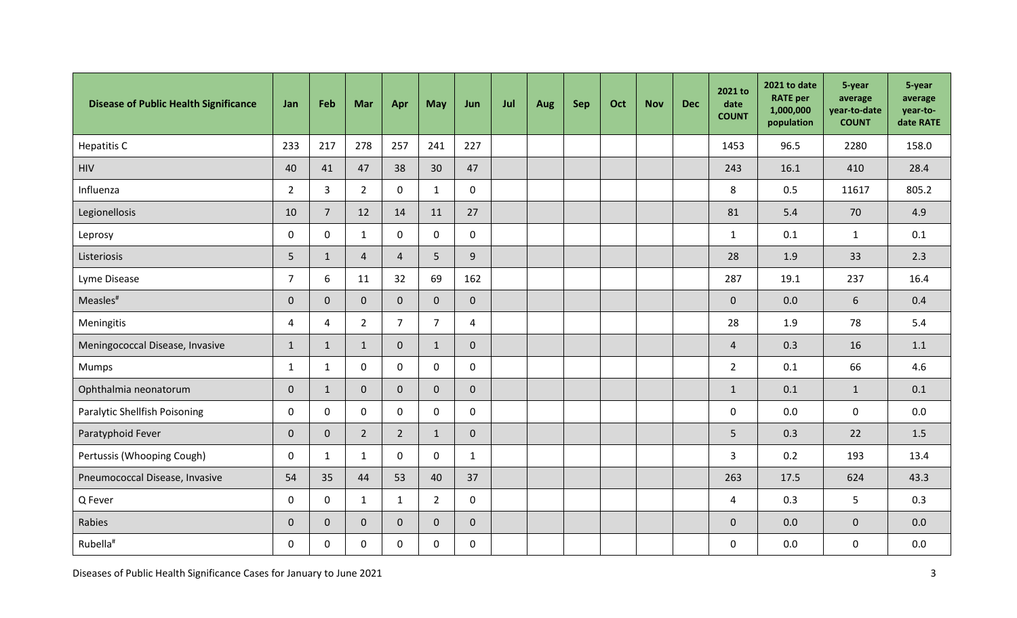| <b>Disease of Public Health Significance</b> | Jan            | Feb            | Mar            | Apr            | <b>May</b>     | Jun            | Jul | Aug | Sep | Oct | <b>Nov</b> | <b>Dec</b> | 2021 to<br>date<br><b>COUNT</b> | 2021 to date<br><b>RATE</b> per<br>1,000,000<br>population | 5-year<br>average<br>year-to-date<br><b>COUNT</b> | 5-year<br>average<br>year-to-<br>date RATE |
|----------------------------------------------|----------------|----------------|----------------|----------------|----------------|----------------|-----|-----|-----|-----|------------|------------|---------------------------------|------------------------------------------------------------|---------------------------------------------------|--------------------------------------------|
| <b>Hepatitis C</b>                           | 233            | 217            | 278            | 257            | 241            | 227            |     |     |     |     |            |            | 1453                            | 96.5                                                       | 2280                                              | 158.0                                      |
| <b>HIV</b>                                   | 40             | 41             | 47             | 38             | 30             | 47             |     |     |     |     |            |            | 243                             | 16.1                                                       | 410                                               | 28.4                                       |
| Influenza                                    | $\overline{2}$ | $\overline{3}$ | $2^{\circ}$    | $\mathbf 0$    | $\mathbf{1}$   | 0              |     |     |     |     |            |            | 8                               | 0.5                                                        | 11617                                             | 805.2                                      |
| Legionellosis                                | 10             | $\overline{7}$ | 12             | 14             | 11             | 27             |     |     |     |     |            |            | 81                              | 5.4                                                        | 70                                                | 4.9                                        |
| Leprosy                                      | $\mathbf 0$    | $\mathbf 0$    | $\mathbf{1}$   | $\mathbf 0$    | 0              | $\mathsf{O}$   |     |     |     |     |            |            | $\mathbf{1}$                    | 0.1                                                        | $\mathbf{1}$                                      | 0.1                                        |
| Listeriosis                                  | 5              | $\mathbf{1}$   | $\overline{4}$ | $\overline{4}$ | 5              | 9              |     |     |     |     |            |            | 28                              | 1.9                                                        | 33                                                | 2.3                                        |
| Lyme Disease                                 | $\overline{7}$ | 6              | 11             | 32             | 69             | 162            |     |     |     |     |            |            | 287                             | 19.1                                                       | 237                                               | 16.4                                       |
| Measles <sup>#</sup>                         | $\pmb{0}$      | $\mathbf 0$    | $\overline{0}$ | $\overline{0}$ | $\overline{0}$ | $\overline{0}$ |     |     |     |     |            |            | $\mathbf 0$                     | 0.0                                                        | 6                                                 | 0.4                                        |
| Meningitis                                   | $\overline{4}$ | 4              | $2^{\circ}$    | $\overline{7}$ | $\overline{7}$ | $\overline{4}$ |     |     |     |     |            |            | 28                              | 1.9                                                        | 78                                                | 5.4                                        |
| Meningococcal Disease, Invasive              | $\mathbf{1}$   | $\mathbf{1}$   | $\mathbf{1}$   | $\mathbf{0}$   | $\mathbf{1}$   | $\mathbf 0$    |     |     |     |     |            |            | $\overline{4}$                  | 0.3                                                        | 16                                                | 1.1                                        |
| Mumps                                        | $\mathbf{1}$   | $\mathbf{1}$   | $\mathsf{O}$   | $\mathbf 0$    | 0              | 0              |     |     |     |     |            |            | $2^{\circ}$                     | 0.1                                                        | 66                                                | 4.6                                        |
| Ophthalmia neonatorum                        | $\mathbf{0}$   | $\mathbf{1}$   | $\overline{0}$ | $\mathbf{0}$   | 0              | $\mathbf 0$    |     |     |     |     |            |            | $\mathbf{1}$                    | 0.1                                                        | $\mathbf{1}$                                      | 0.1                                        |
| Paralytic Shellfish Poisoning                | $\mathbf 0$    | $\mathbf 0$    | 0              | $\mathbf 0$    | 0              | 0              |     |     |     |     |            |            | $\mathbf 0$                     | 0.0                                                        | $\mathbf 0$                                       | 0.0                                        |
| Paratyphoid Fever                            | $\mathbf 0$    | $\mathbf 0$    | $\overline{2}$ | $2^{\circ}$    | $\mathbf{1}$   | $\overline{0}$ |     |     |     |     |            |            | 5                               | 0.3                                                        | 22                                                | 1.5                                        |
| Pertussis (Whooping Cough)                   | $\mathbf 0$    | 1              | $\mathbf{1}$   | $\mathbf 0$    | 0              | $\mathbf{1}$   |     |     |     |     |            |            | $\overline{\mathbf{3}}$         | 0.2                                                        | 193                                               | 13.4                                       |
| Pneumococcal Disease, Invasive               | 54             | 35             | 44             | 53             | 40             | 37             |     |     |     |     |            |            | 263                             | 17.5                                                       | 624                                               | 43.3                                       |
| Q Fever                                      | $\mathbf 0$    | $\mathbf 0$    | $\mathbf{1}$   | $\mathbf{1}$   | $\overline{2}$ | 0              |     |     |     |     |            |            | 4                               | 0.3                                                        | 5                                                 | 0.3                                        |
| Rabies                                       | $\mathbf 0$    | $\mathbf{0}$   | $\overline{0}$ | $\mathbf{0}$   | 0              | $\overline{0}$ |     |     |     |     |            |            | $\mathbf 0$                     | 0.0                                                        | $\mathbf 0$                                       | 0.0                                        |
| Rubella <sup>#</sup>                         | $\mathbf 0$    | $\mathbf 0$    | 0              | $\mathbf 0$    | 0              | $\pmb{0}$      |     |     |     |     |            |            | 0                               | 0.0                                                        | $\mathbf 0$                                       | 0.0                                        |

Diseases of Public Health Significance Cases for January to June 2021 3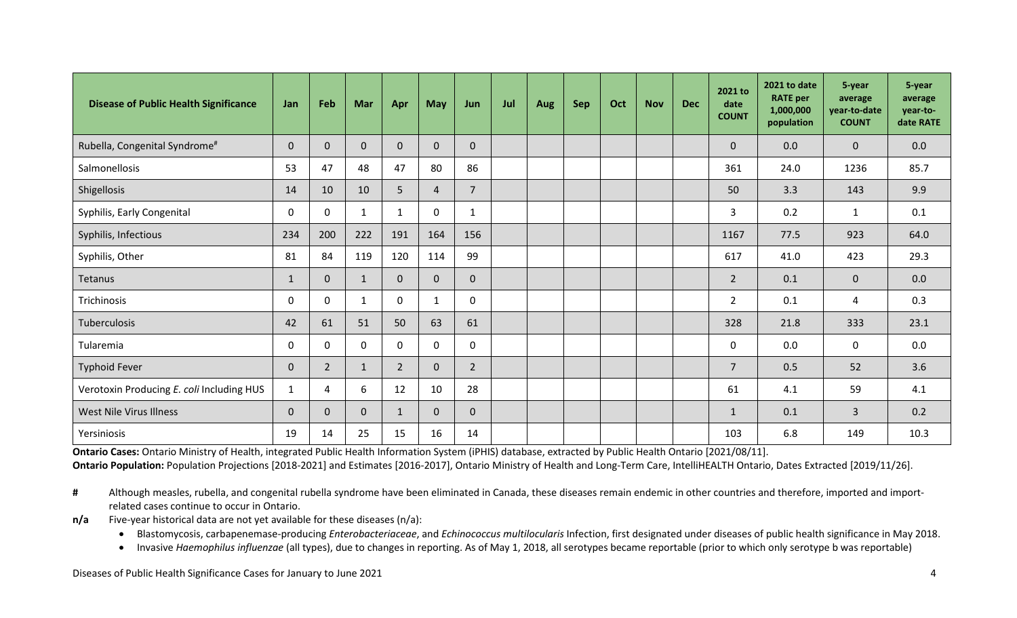| <b>Disease of Public Health Significance</b> | Jan          | Feb            | Mar          | Apr            | May          | Jun            | Jul | Aug | <b>Sep</b> | Oct | <b>Nov</b> | <b>Dec</b> | 2021 to<br>date<br><b>COUNT</b> | 2021 to date<br><b>RATE</b> per<br>1,000,000<br>population | 5-year<br>average<br>year-to-date<br><b>COUNT</b> | 5-year<br>average<br>year-to-<br>date RATE |
|----------------------------------------------|--------------|----------------|--------------|----------------|--------------|----------------|-----|-----|------------|-----|------------|------------|---------------------------------|------------------------------------------------------------|---------------------------------------------------|--------------------------------------------|
| Rubella, Congenital Syndrome <sup>#</sup>    | $\mathbf 0$  | $\mathbf{0}$   | $\mathbf 0$  | $\mathbf{0}$   | 0            | $\mathbf 0$    |     |     |            |     |            |            | $\mathbf 0$                     | 0.0                                                        | $\mathbf 0$                                       | 0.0                                        |
| Salmonellosis                                | 53           | 47             | 48           | 47             | 80           | 86             |     |     |            |     |            |            | 361                             | 24.0                                                       | 1236                                              | 85.7                                       |
| Shigellosis                                  | 14           | 10             | 10           | 5              | 4            | $7^{\circ}$    |     |     |            |     |            |            | 50                              | 3.3                                                        | 143                                               | 9.9                                        |
| Syphilis, Early Congenital                   | $\mathbf 0$  | $\Omega$       | $\mathbf{1}$ | $\mathbf{1}$   | $\mathbf{0}$ | $\mathbf{1}$   |     |     |            |     |            |            | 3                               | 0.2                                                        | $\mathbf{1}$                                      | 0.1                                        |
| Syphilis, Infectious                         | 234          | 200            | 222          | 191            | 164          | 156            |     |     |            |     |            |            | 1167                            | 77.5                                                       | 923                                               | 64.0                                       |
| Syphilis, Other                              | 81           | 84             | 119          | 120            | 114          | 99             |     |     |            |     |            |            | 617                             | 41.0                                                       | 423                                               | 29.3                                       |
| Tetanus                                      | $\mathbf{1}$ | $\mathbf 0$    | $\mathbf{1}$ | $\mathbf{0}$   | 0            | $\overline{0}$ |     |     |            |     |            |            | $\overline{2}$                  | 0.1                                                        | $\mathbf 0$                                       | 0.0                                        |
| Trichinosis                                  | $\mathbf 0$  | $\mathbf{0}$   | 1            | $\mathbf{0}$   | 1            | $\mathbf 0$    |     |     |            |     |            |            | $\overline{2}$                  | 0.1                                                        | 4                                                 | 0.3                                        |
| Tuberculosis                                 | 42           | 61             | 51           | 50             | 63           | 61             |     |     |            |     |            |            | 328                             | 21.8                                                       | 333                                               | 23.1                                       |
| Tularemia                                    | 0            | $\mathbf{0}$   | $\mathbf{0}$ | 0              | 0            | $\mathbf 0$    |     |     |            |     |            |            | $\mathbf 0$                     | 0.0                                                        | 0                                                 | 0.0                                        |
| <b>Typhoid Fever</b>                         | $\mathbf 0$  | $\overline{2}$ | $\mathbf{1}$ | $\overline{2}$ | 0            | $2^{\circ}$    |     |     |            |     |            |            | $\overline{7}$                  | 0.5                                                        | 52                                                | 3.6                                        |
| Verotoxin Producing E. coli Including HUS    | $\mathbf{1}$ | 4              | 6            | 12             | 10           | 28             |     |     |            |     |            |            | 61                              | 4.1                                                        | 59                                                | 4.1                                        |
| <b>West Nile Virus Illness</b>               | $\Omega$     | $\mathbf{0}$   | $\mathbf{0}$ | 1              | 0            | $\mathbf 0$    |     |     |            |     |            |            | $\mathbf{1}$                    | 0.1                                                        | 3                                                 | 0.2                                        |
| Yersiniosis                                  | 19           | 14             | 25           | 15             | 16           | 14             |     |     |            |     |            |            | 103                             | 6.8                                                        | 149                                               | 10.3                                       |

**Ontario Cases:** Ontario Ministry of Health, integrated Public Health Information System (iPHIS) database, extracted by Public Health Ontario [2021/08/11]. Ontario Population: Population Projections [2018-2021] and Estimates [2016-2017], Ontario Ministry of Health and Long-Term Care, IntelliHEALTH Ontario, Dates Extracted [2019/11/26].

# Although measles, rubella, and congenital rubella syndrome have been eliminated in Canada, these diseases remain endemic in other countries and therefore, imported and importrelated cases continue to occur in Ontario.

**n/a** Five-year historical data are not yet available for these diseases (n/a):

• Blastomycosis, carbapenemase-producing *Enterobacteriaceae*, and *Echinococcus multilocularis* Infection, first designated under diseases of public health significance in May 2018.

• Invasive *Haemophilus influenzae* (all types), due to changes in reporting. As of May 1, 2018, all serotypes became reportable (prior to which only serotype b was reportable)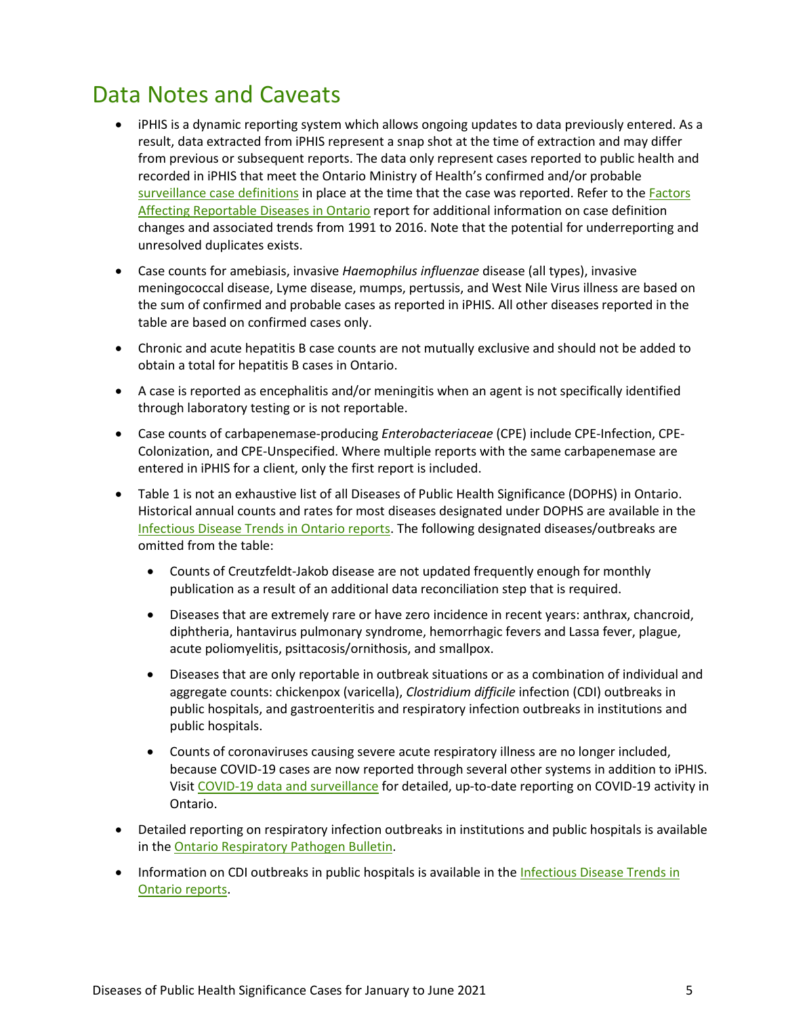## Data Notes and Caveats

- iPHIS is a dynamic reporting system which allows ongoing updates to data previously entered. As a result, data extracted from iPHIS represent a snap shot at the time of extraction and may differ from previous or subsequent reports. The data only represent cases reported to public health and recorded in iPHIS that meet the Ontario Ministry of Health's confirmed and/or probable [surveillance case definitions](http://www.health.gov.on.ca/en/pro/programs/publichealth/oph_standards/infdispro.aspx) in place at the time that the case was reported. Refer to the Factors [Affecting Reportable Diseases in Ontario](https://www.publichealthontario.ca/-/media/documents/factors-reportable-diseases-ontario-1991-2016.pdf?la=en) report for additional information on case definition changes and associated trends from 1991 to 2016. Note that the potential for underreporting and unresolved duplicates exists.
- Case counts for amebiasis, invasive *Haemophilus influenzae* disease (all types), invasive meningococcal disease, Lyme disease, mumps, pertussis, and West Nile Virus illness are based on the sum of confirmed and probable cases as reported in iPHIS. All other diseases reported in the table are based on confirmed cases only.
- Chronic and acute hepatitis B case counts are not mutually exclusive and should not be added to obtain a total for hepatitis B cases in Ontario.
- A case is reported as encephalitis and/or meningitis when an agent is not specifically identified through laboratory testing or is not reportable.
- Case counts of carbapenemase-producing *Enterobacteriaceae* (CPE) include CPE-Infection, CPE-Colonization, and CPE-Unspecified. Where multiple reports with the same carbapenemase are entered in iPHIS for a client, only the first report is included.
- Table 1 is not an exhaustive list of all Diseases of Public Health Significance (DOPHS) in Ontario. Historical annual counts and rates for most diseases designated under DOPHS are available in the Infectious [Disease Trends in Ontario reports.](https://www.publichealthontario.ca/en/data-and-analysis/infectious-disease/reportable-disease-trends-annually) The following designated diseases/outbreaks are omitted from the table:
	- Counts of Creutzfeldt-Jakob disease are not updated frequently enough for monthly publication as a result of an additional data reconciliation step that is required.
	- Diseases that are extremely rare or have zero incidence in recent years: anthrax, chancroid, diphtheria, hantavirus pulmonary syndrome, hemorrhagic fevers and Lassa fever, plague, acute poliomyelitis, psittacosis/ornithosis, and smallpox.
	- Diseases that are only reportable in outbreak situations or as a combination of individual and aggregate counts: chickenpox (varicella), *Clostridium difficile* infection (CDI) outbreaks in public hospitals, and gastroenteritis and respiratory infection outbreaks in institutions and public hospitals.
	- Counts of coronaviruses causing severe acute respiratory illness are no longer included, because COVID-19 cases are now reported through several other systems in addition to iPHIS. Visit [COVID-19 data and surveillance](https://www.publichealthontario.ca/en/data-and-analysis/infectious-disease/covid-19-data-surveillance) for detailed, up-to-date reporting on COVID-19 activity in Ontario.
- Detailed reporting on respiratory infection outbreaks in institutions and public hospitals is available in the [Ontario Respiratory Pathogen Bulletin.](https://www.publichealthontario.ca/en/data-and-analysis/infectious-disease/respiratory-pathogens-weekly)
- Information on CDI outbreaks in public hospitals is available in the Infectious Disease Trends in [Ontario reports.](https://www.publichealthontario.ca/en/data-and-analysis/infectious-disease/reportable-disease-trends-annually)